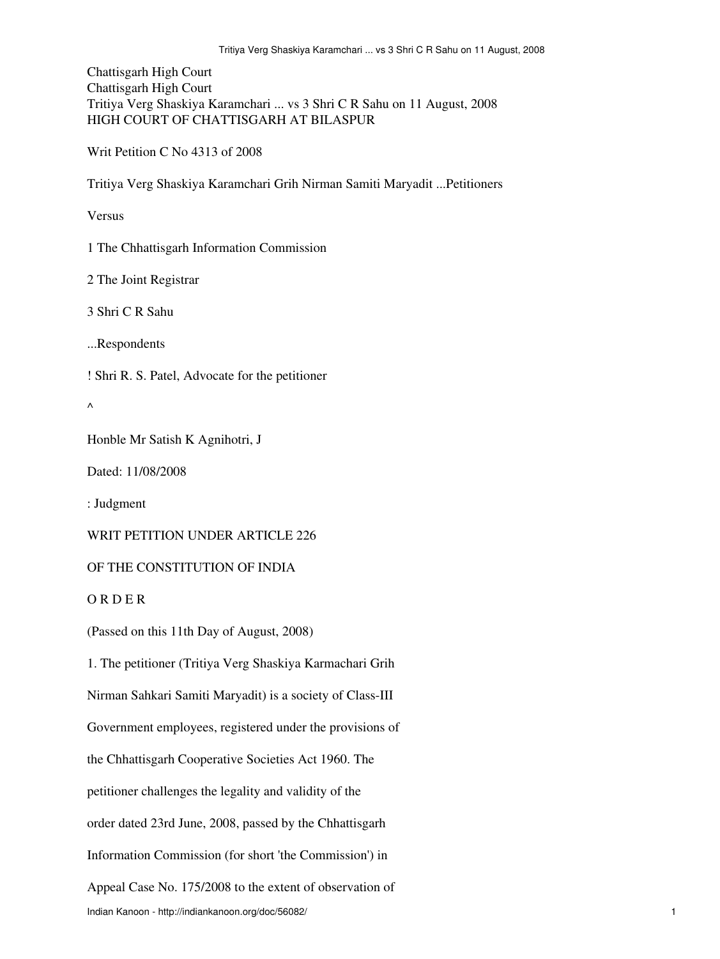Chattisgarh High Court Chattisgarh High Court Tritiya Verg Shaskiya Karamchari ... vs 3 Shri C R Sahu on 11 August, 2008 HIGH COURT OF CHATTISGARH AT BILASPUR

Writ Petition C No 4313 of 2008

Tritiya Verg Shaskiya Karamchari Grih Nirman Samiti Maryadit ...Petitioners

Versus

1 The Chhattisgarh Information Commission

2 The Joint Registrar

3 Shri C R Sahu

...Respondents

! Shri R. S. Patel, Advocate for the petitioner

 $\boldsymbol{\wedge}$ 

Honble Mr Satish K Agnihotri, J

Dated: 11/08/2008

: Judgment

WRIT PETITION UNDER ARTICLE 226

## OF THE CONSTITUTION OF INDIA

O R D E R

(Passed on this 11th Day of August, 2008)

1. The petitioner (Tritiya Verg Shaskiya Karmachari Grih Nirman Sahkari Samiti Maryadit) is a society of Class-III Government employees, registered under the provisions of the Chhattisgarh Cooperative Societies Act 1960. The petitioner challenges the legality and validity of the order dated 23rd June, 2008, passed by the Chhattisgarh Information Commission (for short 'the Commission') in Appeal Case No. 175/2008 to the extent of observation of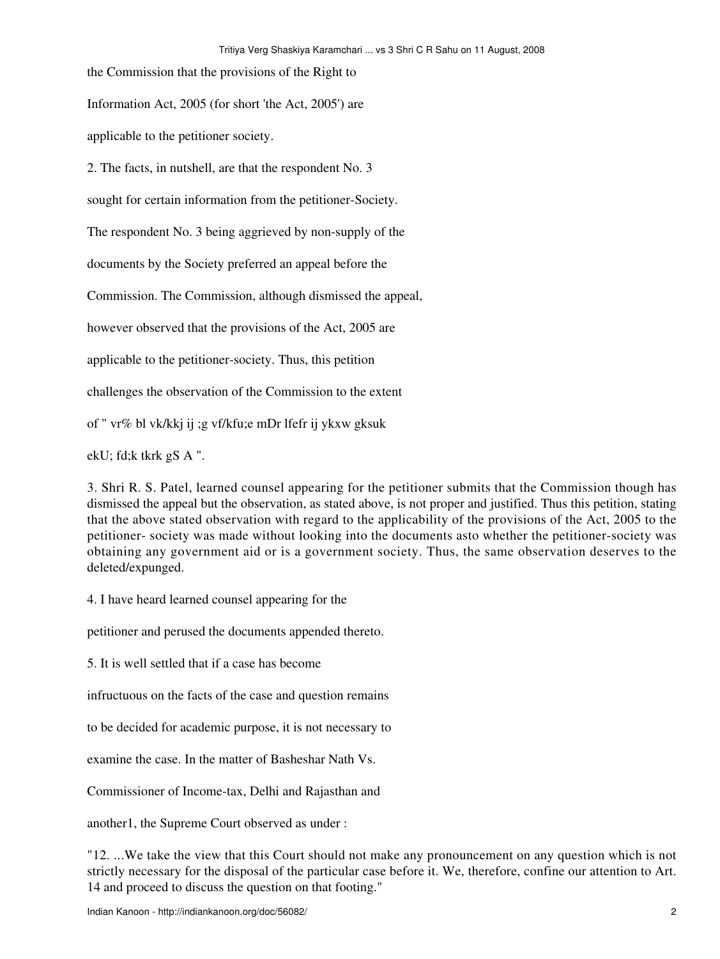the Commission that the provisions of the Right to

Information Act, 2005 (for short 'the Act, 2005') are

applicable to the petitioner society.

2. The facts, in nutshell, are that the respondent No. 3

sought for certain information from the petitioner-Society.

The respondent No. 3 being aggrieved by non-supply of the

documents by the Society preferred an appeal before the

Commission. The Commission, although dismissed the appeal,

however observed that the provisions of the Act, 2005 are

applicable to the petitioner-society. Thus, this petition

challenges the observation of the Commission to the extent

of " vr% bl vk/kkj ij ;g vf/kfu;e mDr lfefr ij ykxw gksuk

ekU; fd;k tkrk gS A ".

3. Shri R. S. Patel, learned counsel appearing for the petitioner submits that the Commission though has dismissed the appeal but the observation, as stated above, is not proper and justified. Thus this petition, stating that the above stated observation with regard to the applicability of the provisions of the Act, 2005 to the petitioner- society was made without looking into the documents asto whether the petitioner-society was obtaining any government aid or is a government society. Thus, the same observation deserves to the deleted/expunged.

4. I have heard learned counsel appearing for the

petitioner and perused the documents appended thereto.

5. It is well settled that if a case has become

infructuous on the facts of the case and question remains

to be decided for academic purpose, it is not necessary to

examine the case. In the matter of Basheshar Nath Vs.

Commissioner of Income-tax, Delhi and Rajasthan and

another1, the Supreme Court observed as under :

"12. ...We take the view that this Court should not make any pronouncement on any question which is not strictly necessary for the disposal of the particular case before it. We, therefore, confine our attention to Art. 14 and proceed to discuss the question on that footing."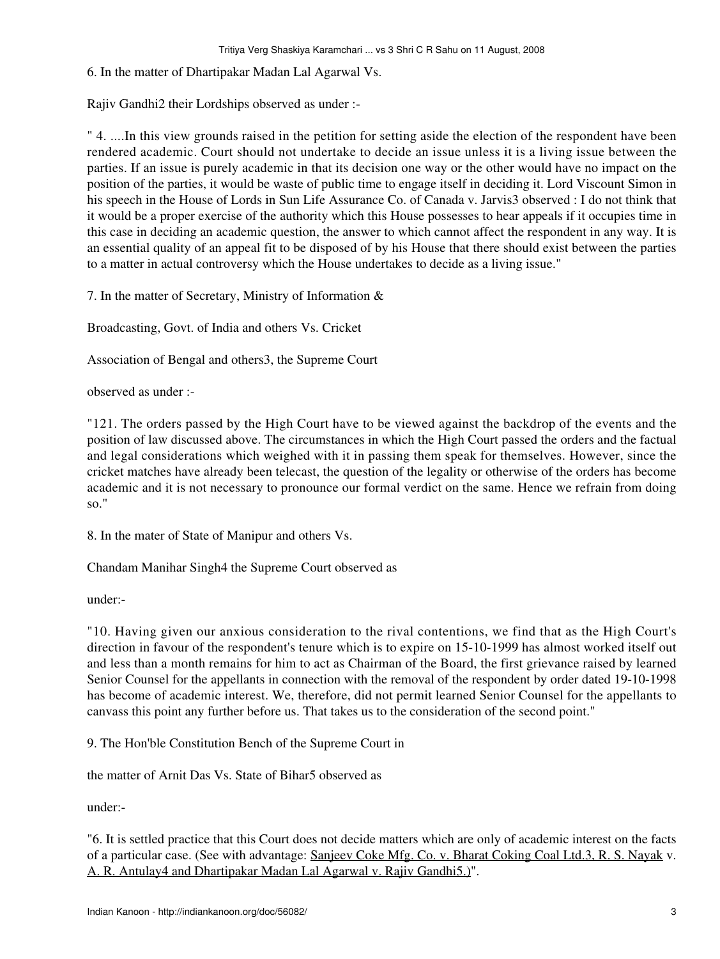6. In the matter of Dhartipakar Madan Lal Agarwal Vs.

Rajiv Gandhi2 their Lordships observed as under :-

" 4. ....In this view grounds raised in the petition for setting aside the election of the respondent have been rendered academic. Court should not undertake to decide an issue unless it is a living issue between the parties. If an issue is purely academic in that its decision one way or the other would have no impact on the position of the parties, it would be waste of public time to engage itself in deciding it. Lord Viscount Simon in his speech in the House of Lords in Sun Life Assurance Co. of Canada v. Jarvis3 observed : I do not think that it would be a proper exercise of the authority which this House possesses to hear appeals if it occupies time in this case in deciding an academic question, the answer to which cannot affect the respondent in any way. It is an essential quality of an appeal fit to be disposed of by his House that there should exist between the parties to a matter in actual controversy which the House undertakes to decide as a living issue."

7. In the matter of Secretary, Ministry of Information &

Broadcasting, Govt. of India and others Vs. Cricket

Association of Bengal and others3, the Supreme Court

observed as under :-

"121. The orders passed by the High Court have to be viewed against the backdrop of the events and the position of law discussed above. The circumstances in which the High Court passed the orders and the factual and legal considerations which weighed with it in passing them speak for themselves. However, since the cricket matches have already been telecast, the question of the legality or otherwise of the orders has become academic and it is not necessary to pronounce our formal verdict on the same. Hence we refrain from doing so."

8. In the mater of State of Manipur and others Vs.

Chandam Manihar Singh4 the Supreme Court observed as

under:-

"10. Having given our anxious consideration to the rival contentions, we find that as the High Court's direction in favour of the respondent's tenure which is to expire on 15-10-1999 has almost worked itself out and less than a month remains for him to act as Chairman of the Board, the first grievance raised by learned Senior Counsel for the appellants in connection with the removal of the respondent by order dated 19-10-1998 has become of academic interest. We, therefore, did not permit learned Senior Counsel for the appellants to canvass this point any further before us. That takes us to the consideration of the second point."

9. The Hon'ble Constitution Bench of the Supreme Court in

the matter of Arnit Das Vs. State of Bihar5 observed as

under:-

"6. It is settled practice that this Court does not decide matters which are only of academic interest on the facts of a particular case. (See with advantage: Sanjeev Coke Mfg. Co. v. Bharat Coking Coal Ltd.3, R. S. Nayak v. A. R. Antulay4 and Dhartipakar Madan Lal Agarwal v. Rajiv Gandhi5.)".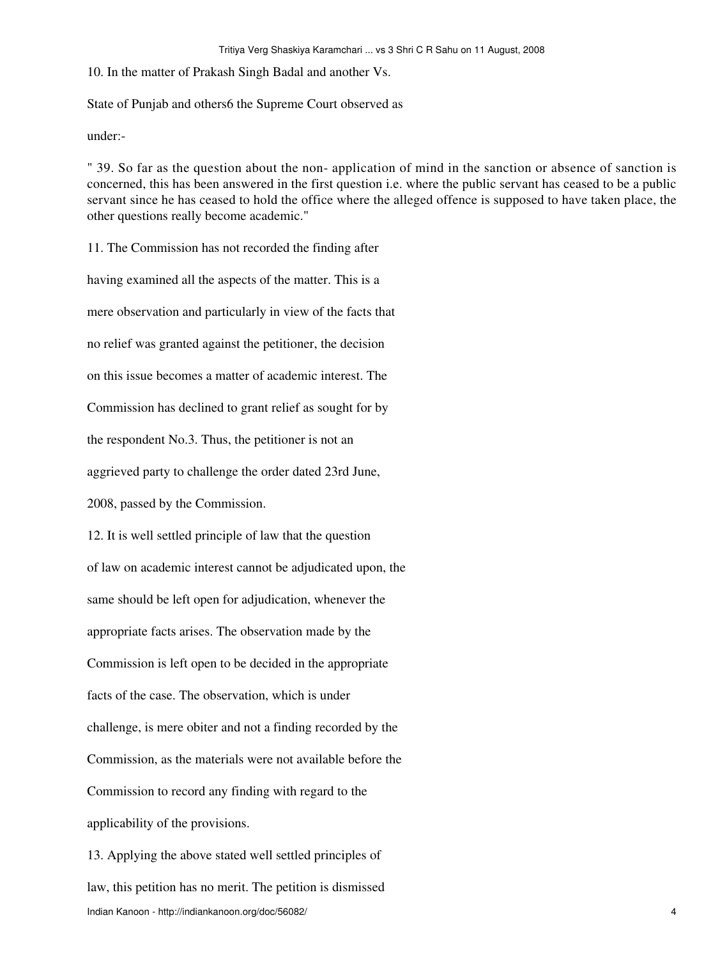10. In the matter of Prakash Singh Badal and another Vs.

State of Punjab and others6 the Supreme Court observed as

under:-

" 39. So far as the question about the non- application of mind in the sanction or absence of sanction is concerned, this has been answered in the first question i.e. where the public servant has ceased to be a public servant since he has ceased to hold the office where the alleged offence is supposed to have taken place, the other questions really become academic."

11. The Commission has not recorded the finding after having examined all the aspects of the matter. This is a mere observation and particularly in view of the facts that no relief was granted against the petitioner, the decision on this issue becomes a matter of academic interest. The Commission has declined to grant relief as sought for by the respondent No.3. Thus, the petitioner is not an aggrieved party to challenge the order dated 23rd June, 2008, passed by the Commission. 12. It is well settled principle of law that the question of law on academic interest cannot be adjudicated upon, the same should be left open for adjudication, whenever the appropriate facts arises. The observation made by the Commission is left open to be decided in the appropriate facts of the case. The observation, which is under challenge, is mere obiter and not a finding recorded by the Commission, as the materials were not available before the Commission to record any finding with regard to the applicability of the provisions.

13. Applying the above stated well settled principles of law, this petition has no merit. The petition is dismissed Indian Kanoon - http://indiankanoon.org/doc/56082/ 4